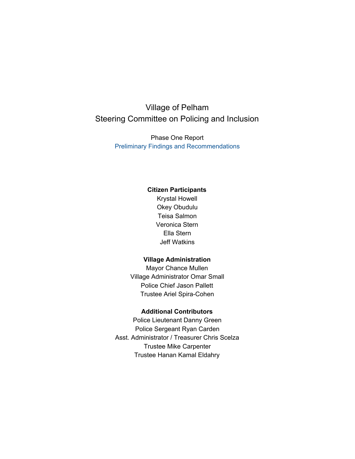# Village of Pelham Steering Committee on Policing and Inclusion

Phase One Report Preliminary Findings and Recommendations

#### **Citizen Participants**

Krystal Howell Okey Obudulu Teisa Salmon Veronica Stern Ella Stern Jeff Watkins

#### **Village Administration**

Mayor Chance Mullen Village Administrator Omar Small Police Chief Jason Pallett Trustee Ariel Spira-Cohen

#### **Additional Contributors**

Police Lieutenant Danny Green Police Sergeant Ryan Carden Asst. Administrator / Treasurer Chris Scelza Trustee Mike Carpenter Trustee Hanan Kamal Eldahry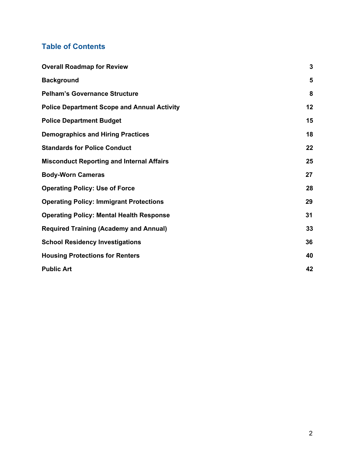# **Table of Contents**

| <b>Overall Roadmap for Review</b>                  | $\mathbf{3}$ |
|----------------------------------------------------|--------------|
| <b>Background</b>                                  | 5            |
| <b>Pelham's Governance Structure</b>               | 8            |
| <b>Police Department Scope and Annual Activity</b> | 12           |
| <b>Police Department Budget</b>                    | 15           |
| <b>Demographics and Hiring Practices</b>           | 18           |
| <b>Standards for Police Conduct</b>                | 22           |
| <b>Misconduct Reporting and Internal Affairs</b>   | 25           |
| <b>Body-Worn Cameras</b>                           | 27           |
| <b>Operating Policy: Use of Force</b>              | 28           |
| <b>Operating Policy: Immigrant Protections</b>     | 29           |
| <b>Operating Policy: Mental Health Response</b>    | 31           |
| <b>Required Training (Academy and Annual)</b>      | 33           |
| <b>School Residency Investigations</b>             | 36           |
| <b>Housing Protections for Renters</b>             | 40           |
| <b>Public Art</b>                                  | 42           |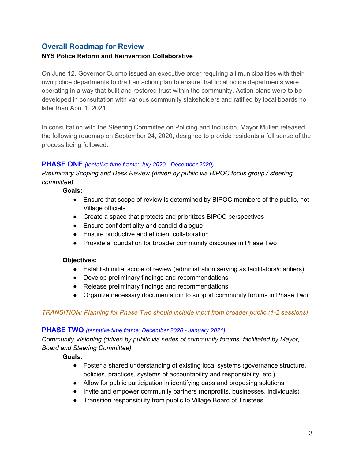# <span id="page-2-0"></span>**Overall Roadmap for Review**

### **NYS Police Reform and Reinvention Collaborative**

On June 12, Governor Cuomo issued an executive order requiring all municipalities with their own police departments to draft an action plan to ensure that local police departments were operating in a way that built and restored trust within the community. Action plans were to be developed in consultation with various community stakeholders and ratified by local boards no later than April 1, 2021.

In consultation with the Steering Committee on Policing and Inclusion, Mayor Mullen released the following roadmap on September 24, 2020, designed to provide residents a full sense of the process being followed.

#### **PHASE ONE** *(tentative time frame: July 2020 - December 2020)*

*Preliminary Scoping and Desk Review (driven by public via BIPOC focus group / steering committee)*

#### **Goals:**

- Ensure that scope of review is determined by BIPOC members of the public, not Village officials
- Create a space that protects and prioritizes BIPOC perspectives
- Ensure confidentiality and candid dialogue
- Ensure productive and efficient collaboration
- Provide a foundation for broader community discourse in Phase Two

#### **Objectives:**

- Establish initial scope of review (administration serving as facilitators/clarifiers)
- Develop preliminary findings and recommendations
- Release preliminary findings and recommendations
- Organize necessary documentation to support community forums in Phase Two

### *TRANSITION: Planning for Phase Two should include input from broader public (1-2 sessions)*

#### **PHASE TWO** *(tentative time frame: December 2020 - January 2021)*

*Community Visioning (driven by public via series of community forums, facilitated by Mayor, Board and Steering Committee)*

**Goals:**

- Foster a shared understanding of existing local systems (governance structure, policies, practices, systems of accountability and responsibility, etc.)
- Allow for public participation in identifying gaps and proposing solutions
- Invite and empower community partners (nonprofits, businesses, individuals)
- Transition responsibility from public to Village Board of Trustees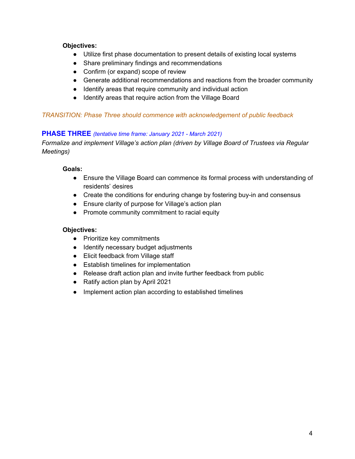#### **Objectives:**

- Utilize first phase documentation to present details of existing local systems
- Share preliminary findings and recommendations
- Confirm (or expand) scope of review
- Generate additional recommendations and reactions from the broader community
- Identify areas that require community and individual action
- Identify areas that require action from the Village Board

#### *TRANSITION: Phase Three should commence with acknowledgement of public feedback*

#### **PHASE THREE** *(tentative time frame: January 2021 - March 2021)*

*Formalize and implement Village's action plan (driven by Village Board of Trustees via Regular Meetings)*

#### **Goals:**

- Ensure the Village Board can commence its formal process with understanding of residents' desires
- Create the conditions for enduring change by fostering buy-in and consensus
- Ensure clarity of purpose for Village's action plan
- Promote community commitment to racial equity

#### **Objectives:**

- Prioritize key commitments
- Identify necessary budget adjustments
- Elicit feedback from Village staff
- Establish timelines for implementation
- Release draft action plan and invite further feedback from public
- Ratify action plan by April 2021
- Implement action plan according to established timelines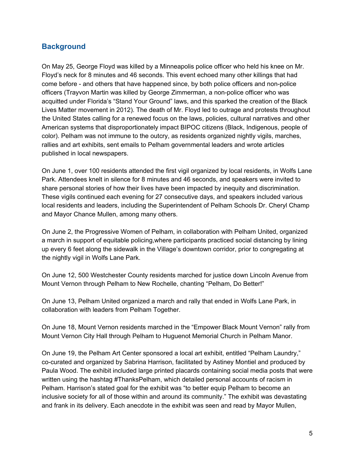### <span id="page-4-0"></span>**Background**

On May 25, George Floyd was killed by a Minneapolis police officer who held his knee on Mr. Floyd's neck for 8 minutes and 46 seconds. This event echoed many other killings that had come before - and others that have happened since, by both police officers and non-police officers (Trayvon Martin was killed by George Zimmerman, a non-police officer who was acquitted under Florida's "Stand Your Ground" laws, and this sparked the creation of the Black Lives Matter movement in 2012). The death of Mr. Floyd led to outrage and protests throughout the United States calling for a renewed focus on the laws, policies, cultural narratives and other American systems that disproportionately impact BIPOC citizens (Black, Indigenous, people of color). Pelham was not immune to the outcry, as residents organized nightly vigils, marches, rallies and art exhibits, sent emails to Pelham governmental leaders and wrote articles published in local newspapers.

On June 1, over 100 residents attended the first vigil organized by local residents, in Wolfs Lane Park. Attendees knelt in silence for 8 minutes and 46 seconds, and speakers were invited to share personal stories of how their lives have been impacted by inequity and discrimination. These vigils continued each evening for 27 consecutive days, and speakers included various local residents and leaders, including the Superintendent of Pelham Schools Dr. Cheryl Champ and Mayor Chance Mullen, among many others.

On June 2, the Progressive Women of Pelham, in collaboration with Pelham United, organized a march in support of equitable policing,where participants practiced social distancing by lining up every 6 feet along the sidewalk in the Village's downtown corridor, prior to congregating at the nightly vigil in Wolfs Lane Park.

On June 12, 500 Westchester County residents marched for justice down Lincoln Avenue from Mount Vernon through Pelham to New Rochelle, chanting "Pelham, Do Better!"

On June 13, Pelham United organized a march and rally that ended in Wolfs Lane Park, in collaboration with leaders from Pelham Together.

On June 18, Mount Vernon residents marched in the "Empower Black Mount Vernon" rally from Mount Vernon City Hall through Pelham to Huguenot Memorial Church in Pelham Manor.

On June 19, the Pelham Art Center sponsored a local art exhibit, entitled "Pelham Laundry," co-curated and organized by Sabrina Harrison, facilitated by Astiney Montiel and produced by Paula Wood. The exhibit included large printed placards containing social media posts that were written using the hashtag #ThanksPelham, which detailed personal accounts of racism in Pelham. Harrison's stated goal for the exhibit was "to better equip Pelham to become an inclusive society for all of those within and around its community." The exhibit was devastating and frank in its delivery. Each anecdote in the exhibit was seen and read by Mayor Mullen,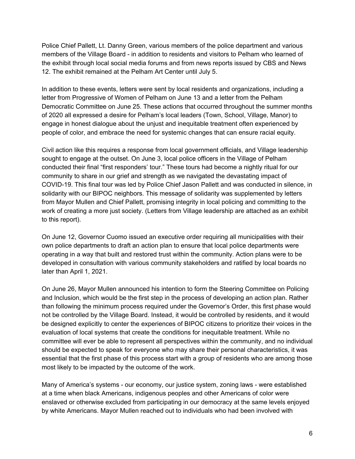Police Chief Pallett, Lt. Danny Green, various members of the police department and various members of the Village Board - in addition to residents and visitors to Pelham who learned of the exhibit through local social media forums and from news reports issued by CBS and News 12. The exhibit remained at the Pelham Art Center until July 5.

In addition to these events, letters were sent by local residents and organizations, including a letter from Progressive of Women of Pelham on June 13 and a letter from the Pelham Democratic Committee on June 25. These actions that occurred throughout the summer months of 2020 all expressed a desire for Pelham's local leaders (Town, School, Village, Manor) to engage in honest dialogue about the unjust and inequitable treatment often experienced by people of color, and embrace the need for systemic changes that can ensure racial equity.

Civil action like this requires a response from local government officials, and Village leadership sought to engage at the outset. On June 3, local police officers in the Village of Pelham conducted their final "first responders' tour." These tours had become a nightly ritual for our community to share in our grief and strength as we navigated the devastating impact of COVID-19. This final tour was led by Police Chief Jason Pallett and was conducted in silence, in solidarity with our BIPOC neighbors. This message of solidarity was supplemented by letters from Mayor Mullen and Chief Pallett, promising integrity in local policing and committing to the work of creating a more just society. (Letters from Village leadership are attached as an exhibit to this report).

On June 12, Governor Cuomo issued an executive order requiring all municipalities with their own police departments to draft an action plan to ensure that local police departments were operating in a way that built and restored trust within the community. Action plans were to be developed in consultation with various community stakeholders and ratified by local boards no later than April 1, 2021.

On June 26, Mayor Mullen announced his intention to form the Steering Committee on Policing and Inclusion, which would be the first step in the process of developing an action plan. Rather than following the minimum process required under the Governor's Order, this first phase would not be controlled by the Village Board. Instead, it would be controlled by residents, and it would be designed explicitly to center the experiences of BIPOC citizens to prioritize their voices in the evaluation of local systems that create the conditions for inequitable treatment. While no committee will ever be able to represent all perspectives within the community, and no individual should be expected to speak for everyone who may share their personal characteristics, it was essential that the first phase of this process start with a group of residents who are among those most likely to be impacted by the outcome of the work.

Many of America's systems - our economy, our justice system, zoning laws - were established at a time when black Americans, indigenous peoples and other Americans of color were enslaved or otherwise excluded from participating in our democracy at the same levels enjoyed by white Americans. Mayor Mullen reached out to individuals who had been involved with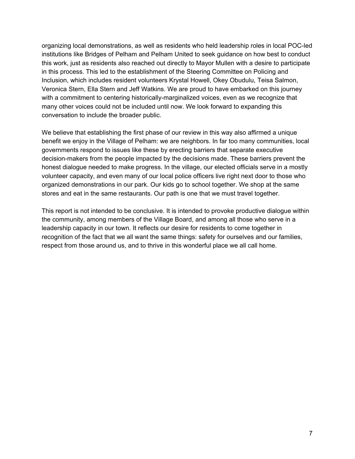organizing local demonstrations, as well as residents who held leadership roles in local POC-led institutions like Bridges of Pelham and Pelham United to seek guidance on how best to conduct this work, just as residents also reached out directly to Mayor Mullen with a desire to participate in this process. This led to the establishment of the Steering Committee on Policing and Inclusion, which includes resident volunteers Krystal Howell, Okey Obudulu, Teisa Salmon, Veronica Stern, Ella Stern and Jeff Watkins. We are proud to have embarked on this journey with a commitment to centering historically-marginalized voices, even as we recognize that many other voices could not be included until now. We look forward to expanding this conversation to include the broader public.

We believe that establishing the first phase of our review in this way also affirmed a unique benefit we enjoy in the Village of Pelham: we are neighbors. In far too many communities, local governments respond to issues like these by erecting barriers that separate executive decision-makers from the people impacted by the decisions made. These barriers prevent the honest dialogue needed to make progress. In the village, our elected officials serve in a mostly volunteer capacity, and even many of our local police officers live right next door to those who organized demonstrations in our park. Our kids go to school together. We shop at the same stores and eat in the same restaurants. Our path is one that we must travel together.

This report is not intended to be conclusive. It is intended to provoke productive dialogue within the community, among members of the Village Board, and among all those who serve in a leadership capacity in our town. It reflects our desire for residents to come together in recognition of the fact that we all want the same things: safety for ourselves and our families, respect from those around us, and to thrive in this wonderful place we all call home.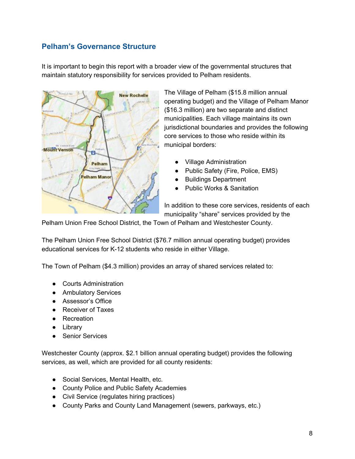# <span id="page-7-0"></span>**Pelham's Governance Structure**

It is important to begin this report with a broader view of the governmental structures that maintain statutory responsibility for services provided to Pelham residents.



The Village of Pelham (\$15.8 million annual operating budget) and the Village of Pelham Manor (\$16.3 million) are two separate and distinct municipalities. Each village maintains its own jurisdictional boundaries and provides the following core services to those who reside within its municipal borders:

- Village Administration
- Public Safety (Fire, Police, EMS)
- Buildings Department
- **Public Works & Sanitation**

In addition to these core services, residents of each municipality "share" services provided by the

Pelham Union Free School District, the Town of Pelham and Westchester County.

The Pelham Union Free School District (\$76.7 million annual operating budget) provides educational services for K-12 students who reside in either Village.

The Town of Pelham (\$4.3 million) provides an array of shared services related to:

- Courts Administration
- Ambulatory Services
- Assessor's Office
- Receiver of Taxes
- Recreation
- Library
- Senior Services

Westchester County (approx. \$2.1 billion annual operating budget) provides the following services, as well, which are provided for all county residents:

- Social Services, Mental Health, etc.
- County Police and Public Safety Academies
- Civil Service (regulates hiring practices)
- County Parks and County Land Management (sewers, parkways, etc.)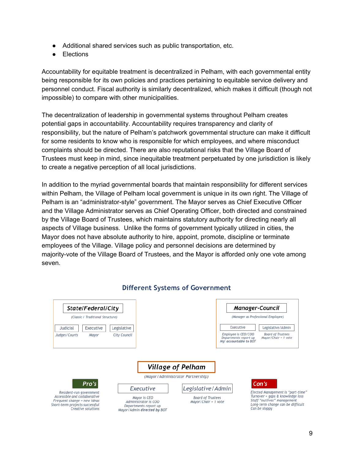- Additional shared services such as public transportation, etc.
- **Elections**

Accountability for equitable treatment is decentralized in Pelham, with each governmental entity being responsible for its own policies and practices pertaining to equitable service delivery and personnel conduct. Fiscal authority is similarly decentralized, which makes it difficult (though not impossible) to compare with other municipalities.

The decentralization of leadership in governmental systems throughout Pelham creates potential gaps in accountability. Accountability requires transparency and clarity of responsibility, but the nature of Pelham's patchwork governmental structure can make it difficult for some residents to know who is responsible for which employees, and where misconduct complaints should be directed. There are also reputational risks that the Village Board of Trustees must keep in mind, since inequitable treatment perpetuated by one jurisdiction is likely to create a negative perception of all local jurisdictions.

In addition to the myriad governmental boards that maintain responsibility for different services within Pelham, the Village of Pelham local government is unique in its own right. The Village of Pelham is an "administrator-style" government. The Mayor serves as Chief Executive Officer and the Village Administrator serves as Chief Operating Officer, both directed and constrained by the Village Board of Trustees, which maintains statutory authority for directing nearly all aspects of Village business. Unlike the forms of government typically utilized in cities, the Mayor does not have absolute authority to hire, appoint, promote, discipline or terminate employees of the Village. Village policy and personnel decisions are determined by majority-vote of the Village Board of Trustees, and the Mayor is afforded only one vote among seven.



### **Different Systems of Government**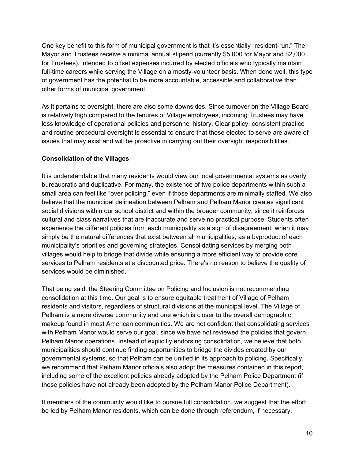One key benefit to this form of municipal government is that it's essentially "resident-run." The Mayor and Trustees receive a minimal annual stipend (currently \$5,000 for Mayor and \$2,000 for Trustees), intended to offset expenses incurred by elected officials who typically maintain full-time careers while serving the Village on a mostly-volunteer basis. When done well, this type of government has the potential to be more accountable, accessible and collaborative than other forms of municipal government.

As it pertains to oversight, there are also some downsides. Since turnover on the Village Board is relatively high compared to the tenures of Village employees, incoming Trustees may have less knowledge of operational policies and personnel history. Clear policy, consistent practice and routine procedural oversight is essential to ensure that those elected to serve are aware of issues that may exist and will be proactive in carrying out their oversight responsibilities.

### **Consolidation of the Villages**

It is understandable that many residents would view our local governmental systems as overly bureaucratic and duplicative. For many, the existence of two police departments within such a small area can feel like "over policing," even if those departments are minimally staffed. We also believe that the municipal delineation between Pelham and Pelham Manor creates significant social divisions within our school district and within the broader community, since it reinforces cultural and class narratives that are inaccurate and serve no practical purpose. Students often experience the different policies from each municipality as a sign of disagreement, when it may simply be the natural differences that exist between all municipalities, as a byproduct of each municipality's priorities and governing strategies. Consolidating services by merging both villages would help to bridge that divide while ensuring a more efficient way to provide core services to Pelham residents at a discounted price. There's no reason to believe the quality of services would be diminished.

That being said, the Steering Committee on Policing and Inclusion is not recommending consolidation at this time. Our goal is to ensure equitable treatment of Village of Pelham residents and visitors, regardless of structural divisions at the municipal level. The Village of Pelham is a more diverse community and one which is closer to the overall demographic makeup found in most American communities. We are not confident that consolidating services with Pelham Manor would serve our goal, since we have not reviewed the policies that govern Pelham Manor operations. Instead of explicitly endorsing consolidation, we believe that both municipalities should continue finding opportunities to bridge the divides created by our governmental systems, so that Pelham can be unified in its approach to policing. Specifically, we recommend that Pelham Manor officials also adopt the measures contained in this report, including some of the excellent policies already adopted by the Pelham Police Department (if those policies have not already been adopted by the Pelham Manor Police Department).

If members of the community would like to pursue full consolidation, we suggest that the effort be led by Pelham Manor residents, which can be done through referendum, if necessary.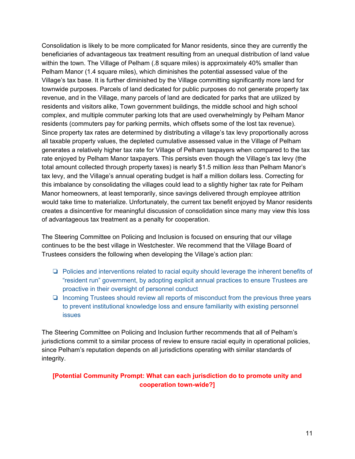Consolidation is likely to be more complicated for Manor residents, since they are currently the beneficiaries of advantageous tax treatment resulting from an unequal distribution of land value within the town. The Village of Pelham (.8 square miles) is approximately 40% smaller than Pelham Manor (1.4 square miles), which diminishes the potential assessed value of the Village's tax base. It is further diminished by the Village committing significantly more land for townwide purposes. Parcels of land dedicated for public purposes do not generate property tax revenue, and in the Village, many parcels of land are dedicated for parks that are utilized by residents and visitors alike, Town government buildings, the middle school and high school complex, and multiple commuter parking lots that are used overwhelmingly by Pelham Manor residents (commuters pay for parking permits, which offsets some of the lost tax revenue). Since property tax rates are determined by distributing a village's tax levy proportionally across all taxable property values, the depleted cumulative assessed value in the Village of Pelham generates a relatively higher tax rate for Village of Pelham taxpayers when compared to the tax rate enjoyed by Pelham Manor taxpayers. This persists even though the Village's tax levy (the total amount collected through property taxes) is nearly \$1.5 million *less* than Pelham Manor's tax levy, and the Village's annual operating budget is half a million dollars less. Correcting for this imbalance by consolidating the villages could lead to a slightly higher tax rate for Pelham Manor homeowners, at least temporarily, since savings delivered through employee attrition would take time to materialize. Unfortunately, the current tax benefit enjoyed by Manor residents creates a disincentive for meaningful discussion of consolidation since many may view this loss of advantageous tax treatment as a penalty for cooperation.

The Steering Committee on Policing and Inclusion is focused on ensuring that our village continues to be the best village in Westchester. We recommend that the Village Board of Trustees considers the following when developing the Village's action plan:

- ❏ Policies and interventions related to racial equity should leverage the inherent benefits of "resident run" government, by adopting explicit annual practices to ensure Trustees are proactive in their oversight of personnel conduct
- ❏ Incoming Trustees should review all reports of misconduct from the previous three years to prevent institutional knowledge loss and ensure familiarity with existing personnel issues

The Steering Committee on Policing and Inclusion further recommends that all of Pelham's jurisdictions commit to a similar process of review to ensure racial equity in operational policies, since Pelham's reputation depends on all jurisdictions operating with similar standards of integrity.

### **[Potential Community Prompt: What can each jurisdiction do to promote unity and cooperation town-wide?]**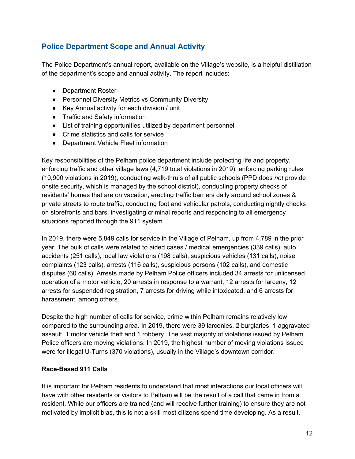# <span id="page-11-0"></span>**Police Department Scope and Annual Activity**

The Police Department's annual report, available on the Village's website, is a helpful distillation of the department's scope and annual activity. The report includes:

- Department Roster
- Personnel Diversity Metrics vs Community Diversity
- Key Annual activity for each division / unit
- Traffic and Safety information
- List of training opportunities utilized by department personnel
- Crime statistics and calls for service
- Department Vehicle Fleet information

Key responsibilities of the Pelham police department include protecting life and property, enforcing traffic and other village laws (4,719 total violations in 2019), enforcing parking rules (10,900 violations in 2019), conducting walk-thru's of all public schools (PPD does *not* provide onsite security, which is managed by the school district), conducting property checks of residents' homes that are on vacation, erecting traffic barriers daily around school zones & private streets to route traffic, conducting foot and vehicular patrols, conducting nightly checks on storefronts and bars, investigating criminal reports and responding to all emergency situations reported through the 911 system.

In 2019, there were 5,849 calls for service in the Village of Pelham, up from 4,789 in the prior year. The bulk of calls were related to aided cases / medical emergencies (339 calls), auto accidents (251 calls), local law violations (198 calls), suspicious vehicles (131 calls), noise complaints (123 calls), arrests (116 calls), suspicious persons (102 calls), and domestic disputes (60 calls). Arrests made by Pelham Police officers included 34 arrests for unlicensed operation of a motor vehicle, 20 arrests in response to a warrant, 12 arrests for larceny, 12 arrests for suspended registration, 7 arrests for driving while intoxicated, and 6 arrests for harassment, among others.

Despite the high number of calls for service, crime within Pelham remains relatively low compared to the surrounding area. In 2019, there were 39 larcenies, 2 burglaries, 1 aggravated assault, 1 motor vehicle theft and 1 robbery. The vast majority of violations issued by Pelham Police officers are moving violations. In 2019, the highest number of moving violations issued were for Illegal U-Turns (370 violations), usually in the Village's downtown corridor.

#### **Race-Based 911 Calls**

It is important for Pelham residents to understand that most interactions our local officers will have with other residents or visitors to Pelham will be the result of a call that came in from a resident. While our officers are trained (and will receive further training) to ensure they are not motivated by implicit bias, this is not a skill most citizens spend time developing. As a result,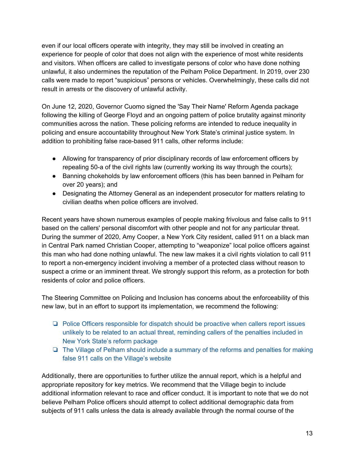even if our local officers operate with integrity, they may still be involved in creating an experience for people of color that does not align with the experience of most white residents and visitors. When officers are called to investigate persons of color who have done nothing unlawful, it also undermines the reputation of the Pelham Police Department. In 2019, over 230 calls were made to report "suspicious" persons or vehicles. Overwhelmingly, these calls did not result in arrests or the discovery of unlawful activity.

On June 12, 2020, Governor Cuomo signed the 'Say Their Name' Reform Agenda package following the killing of George Floyd and an ongoing pattern of police brutality against minority communities across the nation. These policing reforms are intended to reduce inequality in policing and ensure accountability throughout New York State's criminal justice system. In addition to prohibiting false race-based 911 calls, other reforms include:

- Allowing for transparency of prior disciplinary records of law enforcement officers by repealing 50-a of the civil rights law (currently working its way through the courts);
- Banning chokeholds by law enforcement officers (this has been banned in Pelham for over 20 years); and
- Designating the Attorney General as an independent prosecutor for matters relating to civilian deaths when police officers are involved.

Recent years have shown numerous examples of people making frivolous and false calls to 911 based on the callers' personal discomfort with other people and not for any particular threat. During the summer of 2020, Amy Cooper, a New York City resident, called 911 on a black man in Central Park named Christian Cooper, attempting to "weaponize" local police officers against this man who had done nothing unlawful. The new law makes it a civil rights violation to call 911 to report a non-emergency incident involving a member of a protected class without reason to suspect a crime or an imminent threat. We strongly support this reform, as a protection for both residents of color and police officers.

The Steering Committee on Policing and Inclusion has concerns about the enforceability of this new law, but in an effort to support its implementation, we recommend the following:

- ❏ Police Officers responsible for dispatch should be proactive when callers report issues unlikely to be related to an actual threat, reminding callers of the penalties included in New York State's reform package
- ❏ The Village of Pelham should include a summary of the reforms and penalties for making false 911 calls on the Village's website

Additionally, there are opportunities to further utilize the annual report, which is a helpful and appropriate repository for key metrics. We recommend that the Village begin to include additional information relevant to race and officer conduct. It is important to note that we do not believe Pelham Police officers should attempt to collect additional demographic data from subjects of 911 calls unless the data is already available through the normal course of the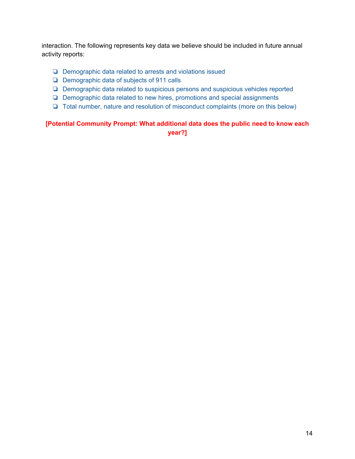interaction. The following represents key data we believe should be included in future annual activity reports:

- ❏ Demographic data related to arrests and violations issued
- ❏ Demographic data of subjects of 911 calls
- ❏ Demographic data related to suspicious persons and suspicious vehicles reported
- ❏ Demographic data related to new hires, promotions and special assignments
- ❏ Total number, nature and resolution of misconduct complaints (more on this below)

### **[Potential Community Prompt: What additional data does the public need to know each year?]**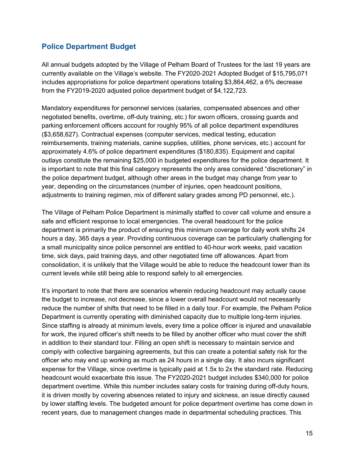## <span id="page-14-0"></span>**Police Department Budget**

All annual budgets adopted by the Village of Pelham Board of Trustees for the last 19 years are currently available on the Village's website. The FY2020-2021 Adopted Budget of \$15,795,071 includes appropriations for police department operations totaling \$3,864,462, a 6% decrease from the FY2019-2020 adjusted police department budget of \$4,122,723.

Mandatory expenditures for personnel services (salaries, compensated absences and other negotiated benefits, overtime, off-duty training, etc.) for sworn officers, crossing guards and parking enforcement officers account for roughly 95% of all police department expenditures (\$3,658,627). Contractual expenses (computer services, medical testing, education reimbursements, training materials, canine supplies, utilities, phone services, etc.) account for approximately 4.6% of police department expenditures (\$180,835). Equipment and capital outlays constitute the remaining \$25,000 in budgeted expenditures for the police department. It is important to note that this final category represents the only area considered "discretionary" in the police department budget, although other areas in the budget may change from year to year, depending on the circumstances (number of injuries, open headcount positions, adjustments to training regimen, mix of different salary grades among PD personnel, etc.).

The Village of Pelham Police Department is minimally staffed to cover call volume and ensure a safe and efficient response to local emergencies. The overall headcount for the police department is primarily the product of ensuring this minimum coverage for daily work shifts 24 hours a day, 365 days a year. Providing continuous coverage can be particularly challenging for a small municipality since police personnel are entitled to 40-hour work weeks, paid vacation time, sick days, paid training days, and other negotiated time off allowances. Apart from consolidation, it is unlikely that the Village would be able to reduce the headcount lower than its current levels while still being able to respond safely to all emergencies.

It's important to note that there are scenarios wherein reducing headcount may actually cause the budget to increase, not decrease, since a lower overall headcount would not necessarily reduce the number of shifts that need to be filled in a daily tour. For example, the Pelham Police Department is currently operating with diminished capacity due to multiple long-term injuries. Since staffing is already at minimum levels, every time a police officer is injured and unavailable for work, the injured officer's shift needs to be filled by another officer who must cover the shift in addition to their standard tour. Filling an open shift is necessary to maintain service and comply with collective bargaining agreements, but this can create a potential safety risk for the officer who may end up working as much as 24 hours in a single day. It also incurs significant expense for the Village, since overtime is typically paid at 1.5x to 2x the standard rate. Reducing headcount would exacerbate this issue. The FY2020-2021 budget includes \$340,000 for police department overtime. While this number includes salary costs for training during off-duty hours, it is driven mostly by covering absences related to injury and sickness, an issue directly caused by lower staffing levels. The budgeted amount for police department overtime has come down in recent years, due to management changes made in departmental scheduling practices. This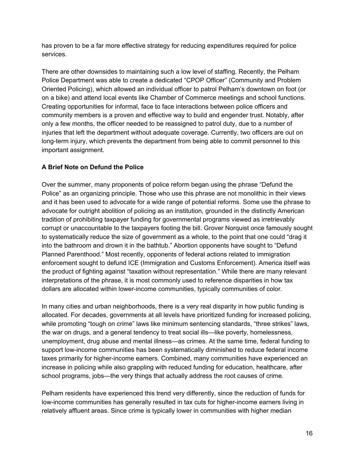has proven to be a far more effective strategy for reducing expenditures required for police services.

There are other downsides to maintaining such a low level of staffing. Recently, the Pelham Police Department was able to create a dedicated "CPOP Officer" (Community and Problem Oriented Policing), which allowed an individual officer to patrol Pelham's downtown on foot (or on a bike) and attend local events like Chamber of Commerce meetings and school functions. Creating opportunities for informal, face to face interactions between police officers and community members is a proven and effective way to build and engender trust. Notably, after only a few months, the officer needed to be reassigned to patrol duty, due to a number of injuries that left the department without adequate coverage. Currently, two officers are out on long-term injury, which prevents the department from being able to commit personnel to this important assignment.

### **A Brief Note on Defund the Police**

Over the summer, many proponents of police reform began using the phrase "Defund the Police" as an organizing principle. Those who use this phrase are not monolithic in their views and it has been used to advocate for a wide range of potential reforms. Some use the phrase to advocate for outright abolition of policing as an institution, grounded in the distinctly American tradition of prohibiting taxpayer funding for governmental programs viewed as irretrievably corrupt or unaccountable to the taxpayers footing the bill. Grover Norquist once famously sought to systematically reduce the size of government as a whole, to the point that one could "drag it into the bathroom and drown it in the bathtub." Abortion opponents have sought to "Defund Planned Parenthood." Most recently, opponents of federal actions related to immigration enforcement sought to defund ICE (Immigration and Customs Enforcement). America itself was the product of fighting against "taxation without representation." While there are many relevant interpretations of the phrase, it is most commonly used to reference disparities in how tax dollars are allocated within lower-income communities, typically communities of color.

In many cities and urban neighborhoods, there is a very real disparity in how public funding is allocated. For decades, governments at all levels have prioritized funding for increased policing, while promoting "tough on crime" laws like minimum sentencing standards, "three strikes" laws, the war on drugs, and a general tendency to treat social ills—like poverty, homelessness, unemployment, drug abuse and mental illness—as crimes. At the same time, federal funding to support low-income communities has been systematically diminished to reduce federal income taxes primarily for higher-income earners. Combined, many communities have experienced an increase in policing while also grappling with reduced funding for education, healthcare, after school programs, jobs—the very things that actually address the root causes of crime.

Pelham residents have experienced this trend very differently, since the reduction of funds for low-income communities has generally resulted in tax cuts for higher-income earners living in relatively affluent areas. Since crime is typically lower in communities with higher median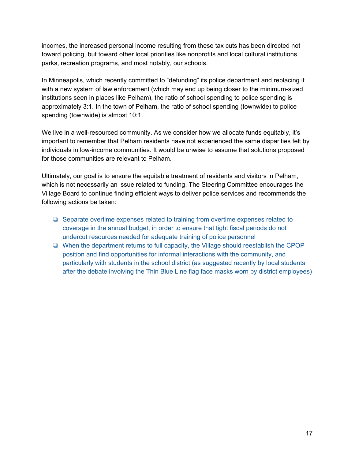incomes, the increased personal income resulting from these tax cuts has been directed not toward policing, but toward other local priorities like nonprofits and local cultural institutions, parks, recreation programs, and most notably, our schools.

In Minneapolis, which recently committed to "defunding" its police department and replacing it with a new system of law enforcement (which may end up being closer to the minimum-sized institutions seen in places like Pelham), the ratio of school spending to police spending is approximately 3:1. In the town of Pelham, the ratio of school spending (townwide) to police spending (townwide) is almost 10:1.

We live in a well-resourced community. As we consider how we allocate funds equitably, it's important to remember that Pelham residents have not experienced the same disparities felt by individuals in low-income communities. It would be unwise to assume that solutions proposed for those communities are relevant to Pelham.

Ultimately, our goal is to ensure the equitable treatment of residents and visitors in Pelham, which is not necessarily an issue related to funding. The Steering Committee encourages the Village Board to continue finding efficient ways to deliver police services and recommends the following actions be taken:

- ❏ Separate overtime expenses related to training from overtime expenses related to coverage in the annual budget, in order to ensure that tight fiscal periods do not undercut resources needed for adequate training of police personnel
- ❏ When the department returns to full capacity, the Village should reestablish the CPOP position and find opportunities for informal interactions with the community, and particularly with students in the school district (as suggested recently by local students after the debate involving the Thin Blue Line flag face masks worn by district employees)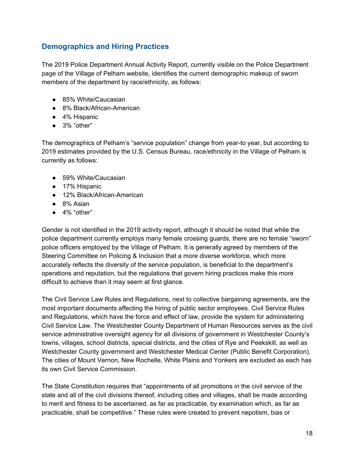# <span id="page-17-0"></span>**Demographics and Hiring Practices**

The 2019 Police Department Annual Activity Report, currently visible on the Police Department page of the Village of Pelham website, identifies the current demographic makeup of sworn members of the department by race/ethnicity, as follows:

- 85% White/Caucasian
- 8% Black/African-American
- 4% Hispanic
- 3% "other"

The demographics of Pelham's "service population" change from year-to year, but according to 2019 estimates provided by the U.S. Census Bureau, race/ethnicity in the Village of Pelham is currently as follows:

- 59% White/Caucasian
- 17% Hispanic
- 12% Black/African-American
- 8% Asian
- $\bullet$  4% "other"

Gender is not identified in the 2019 activity report, although it should be noted that while the police department currently employs many female crossing guards, there are no female "sworn" police officers employed by the Village of Pelham. It is generally agreed by members of the Steering Committee on Policing & Inclusion that a more diverse workforce, which more accurately reflects the diversity of the service population, is beneficial to the department's operations and reputation, but the regulations that govern hiring practices make this more difficult to achieve than it may seem at first glance.

The Civil Service Law Rules and Regulations, next to collective bargaining agreements, are the most important documents affecting the hiring of public sector employees. Civil Service Rules and Regulations, which have the force and effect of law, provide the system for administering Civil Service Law. The Westchester County Department of Human Resources serves as the civil service administrative oversight agency for all divisions of government in Westchester County's towns, villages, school districts, special districts, and the cities of Rye and Peekskill, as well as Westchester County government and Westchester Medical Center (Public Benefit Corporation). The cities of Mount Vernon, New Rochelle, White Plains and Yonkers are excluded as each has its own Civil Service Commission.

The State Constitution requires that "appointments of all promotions in the civil service of the state and all of the civil divisions thereof, including cities and villages, shall be made according to merit and fitness to be ascertained, as far as practicable, by examination which, as far as practicable, shall be competitive." These rules were created to prevent nepotism, bias or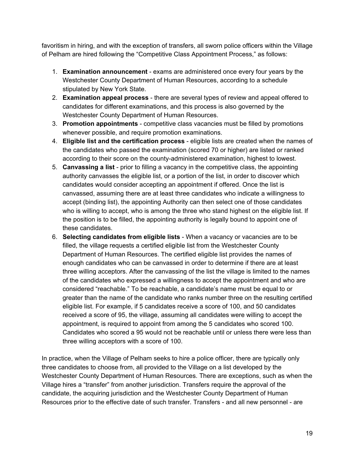favoritism in hiring, and with the exception of transfers, all sworn police officers within the Village of Pelham are hired following the "Competitive Class Appointment Process," as follows:

- 1. **Examination announcement** exams are administered once every four years by the Westchester County Department of Human Resources, according to a schedule stipulated by New York State.
- 2. **Examination appeal process** there are several types of review and appeal offered to candidates for different examinations, and this process is also governed by the Westchester County Department of Human Resources.
- 3. **Promotion appointments** competitive class vacancies must be filled by promotions whenever possible, and require promotion examinations.
- 4. **Eligible list and the certification process** eligible lists are created when the names of the candidates who passed the examination (scored 70 or higher) are listed or ranked according to their score on the county-administered examination, highest to lowest.
- 5. **Canvassing a list** prior to filling a vacancy in the competitive class, the appointing authority canvasses the eligible list, or a portion of the list, in order to discover which candidates would consider accepting an appointment if offered. Once the list is canvassed, assuming there are at least three candidates who indicate a willingness to accept (binding list), the appointing Authority can then select one of those candidates who is willing to accept, who is among the three who stand highest on the eligible list. If the position is to be filled, the appointing authority is legally bound to appoint one of these candidates.
- 6. **Selecting candidates from eligible lists** When a vacancy or vacancies are to be filled, the village requests a certified eligible list from the Westchester County Department of Human Resources. The certified eligible list provides the names of enough candidates who can be canvassed in order to determine if there are at least three willing acceptors. After the canvassing of the list the village is limited to the names of the candidates who expressed a willingness to accept the appointment and who are considered "reachable." To be reachable, a candidate's name must be equal to or greater than the name of the candidate who ranks number three on the resulting certified eligible list. For example, if 5 candidates receive a score of 100, and 50 candidates received a score of 95, the village, assuming all candidates were willing to accept the appointment, is required to appoint from among the 5 candidates who scored 100. Candidates who scored a 95 would not be reachable until or unless there were less than three willing acceptors with a score of 100.

In practice, when the Village of Pelham seeks to hire a police officer, there are typically only three candidates to choose from, all provided to the Village on a list developed by the Westchester County Department of Human Resources. There are exceptions, such as when the Village hires a "transfer" from another jurisdiction. Transfers require the approval of the candidate, the acquiring jurisdiction and the Westchester County Department of Human Resources prior to the effective date of such transfer. Transfers - and all new personnel - are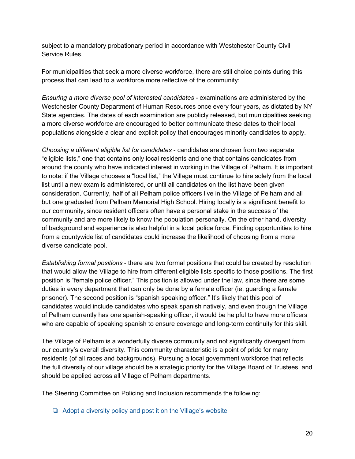subject to a mandatory probationary period in accordance with Westchester County Civil Service Rules.

For municipalities that seek a more diverse workforce, there are still choice points during this process that can lead to a workforce more reflective of the community:

*Ensuring a more diverse pool of interested candidates* - examinations are administered by the Westchester County Department of Human Resources once every four years, as dictated by NY State agencies. The dates of each examination are publicly released, but municipalities seeking a more diverse workforce are encouraged to better communicate these dates to their local populations alongside a clear and explicit policy that encourages minority candidates to apply.

*Choosing a different eligible list for candidates* - candidates are chosen from two separate "eligible lists," one that contains only local residents and one that contains candidates from around the county who have indicated interest in working in the Village of Pelham. It is important to note: if the Village chooses a "local list," the Village must continue to hire solely from the local list until a new exam is administered, or until all candidates on the list have been given consideration. Currently, half of all Pelham police officers live in the Village of Pelham and all but one graduated from Pelham Memorial High School. Hiring locally is a significant benefit to our community, since resident officers often have a personal stake in the success of the community and are more likely to know the population personally. On the other hand, diversity of background and experience is also helpful in a local police force. Finding opportunities to hire from a countywide list of candidates could increase the likelihood of choosing from a more diverse candidate pool.

*Establishing formal positions* - there are two formal positions that could be created by resolution that would allow the Village to hire from different eligible lists specific to those positions. The first position is "female police officer." This position is allowed under the law, since there are some duties in every department that can only be done by a female officer (ie, guarding a female prisoner). The second position is "spanish speaking officer." It's likely that this pool of candidates would include candidates who speak spanish natively, and even though the Village of Pelham currently has one spanish-speaking officer, it would be helpful to have more officers who are capable of speaking spanish to ensure coverage and long-term continuity for this skill.

The Village of Pelham is a wonderfully diverse community and not significantly divergent from our country's overall diversity. This community characteristic is a point of pride for many residents (of all races and backgrounds). Pursuing a local government workforce that reflects the full diversity of our village should be a strategic priority for the Village Board of Trustees, and should be applied across all Village of Pelham departments.

The Steering Committee on Policing and Inclusion recommends the following:

❏ Adopt a diversity policy and post it on the Village's website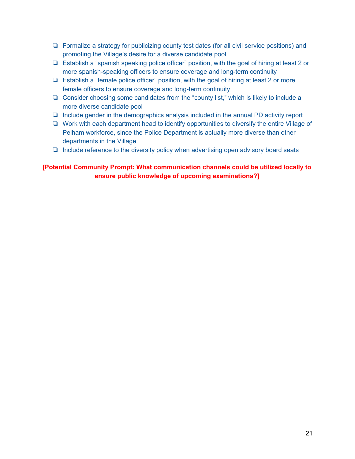- ❏ Formalize a strategy for publicizing county test dates (for all civil service positions) and promoting the Village's desire for a diverse candidate pool
- ❏ Establish a "spanish speaking police officer" position, with the goal of hiring at least 2 or more spanish-speaking officers to ensure coverage and long-term continuity
- ❏ Establish a "female police officer" position, with the goal of hiring at least 2 or more female officers to ensure coverage and long-term continuity
- ❏ Consider choosing some candidates from the "county list," which is likely to include a more diverse candidate pool
- ❏ Include gender in the demographics analysis included in the annual PD activity report
- ❏ Work with each department head to identify opportunities to diversify the entire Village of Pelham workforce, since the Police Department is actually more diverse than other departments in the Village
- ❏ Include reference to the diversity policy when advertising open advisory board seats

### **[Potential Community Prompt: What communication channels could be utilized locally to ensure public knowledge of upcoming examinations?]**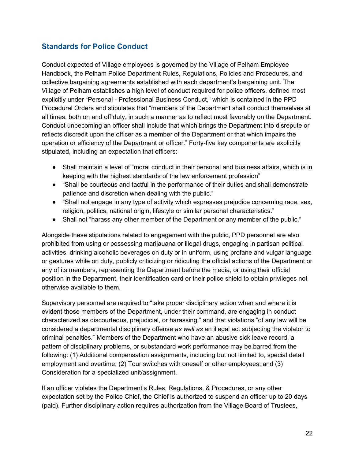# <span id="page-21-0"></span>**Standards for Police Conduct**

Conduct expected of Village employees is governed by the Village of Pelham Employee Handbook, the Pelham Police Department Rules, Regulations, Policies and Procedures, and collective bargaining agreements established with each department's bargaining unit. The Village of Pelham establishes a high level of conduct required for police officers, defined most explicitly under "Personal - Professional Business Conduct," which is contained in the PPD Procedural Orders and stipulates that "members of the Department shall conduct themselves at all times, both on and off duty, in such a manner as to reflect most favorably on the Department. Conduct unbecoming an officer shall include that which brings the Department into disrepute or reflects discredit upon the officer as a member of the Department or that which impairs the operation or efficiency of the Department or officer." Forty-five key components are explicitly stipulated, including an expectation that officers:

- Shall maintain a level of "moral conduct in their personal and business affairs, which is in keeping with the highest standards of the law enforcement profession"
- "Shall be courteous and tactful in the performance of their duties and shall demonstrate patience and discretion when dealing with the public."
- "Shall not engage in any type of activity which expresses prejudice concerning race, sex, religion, politics, national origin, lifestyle or similar personal characteristics."
- Shall not "harass any other member of the Department or any member of the public."

Alongside these stipulations related to engagement with the public, PPD personnel are also prohibited from using or possessing marijauana or illegal drugs, engaging in partisan political activities, drinking alcoholic beverages on duty or in uniform, using profane and vulgar language or gestures while on duty, publicly criticizing or ridiculing the official actions of the Department or any of its members, representing the Department before the media, or using their official position in the Department, their identification card or their police shield to obtain privileges not otherwise available to them.

Supervisory personnel are required to "take proper disciplinary action when and where it is evident those members of the Department, under their command, are engaging in conduct characterized as discourteous, prejudicial, or harassing," and that violations "of any law will be considered a departmental disciplinary offense *as well as* an illegal act subjecting the violator to criminal penalties." Members of the Department who have an abusive sick leave record, a pattern of disciplinary problems, or substandard work performance may be barred from the following: (1) Additional compensation assignments, including but not limited to, special detail employment and overtime; (2) Tour switches with oneself or other employees; and (3) Consideration for a specialized unit/assignment.

If an officer violates the Department's Rules, Regulations, & Procedures, or any other expectation set by the Police Chief, the Chief is authorized to suspend an officer up to 20 days (paid). Further disciplinary action requires authorization from the Village Board of Trustees,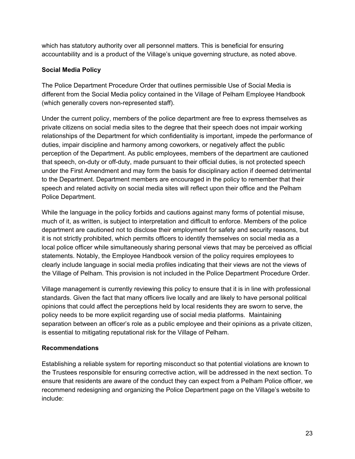which has statutory authority over all personnel matters. This is beneficial for ensuring accountability and is a product of the Village's unique governing structure, as noted above.

### **Social Media Policy**

The Police Department Procedure Order that outlines permissible Use of Social Media is different from the Social Media policy contained in the Village of Pelham Employee Handbook (which generally covers non-represented staff).

Under the current policy, members of the police department are free to express themselves as private citizens on social media sites to the degree that their speech does not impair working relationships of the Department for which confidentiality is important, impede the performance of duties, impair discipline and harmony among coworkers, or negatively affect the public perception of the Department. As public employees, members of the department are cautioned that speech, on-duty or off-duty, made pursuant to their official duties, is not protected speech under the First Amendment and may form the basis for disciplinary action if deemed detrimental to the Department. Department members are encouraged in the policy to remember that their speech and related activity on social media sites will reflect upon their office and the Pelham Police Department.

While the language in the policy forbids and cautions against many forms of potential misuse, much of it, as written, is subject to interpretation and difficult to enforce. Members of the police department are cautioned not to disclose their employment for safety and security reasons, but it is not strictly prohibited, which permits officers to identify themselves on social media as a local police officer while simultaneously sharing personal views that may be perceived as official statements. Notably, the Employee Handbook version of the policy requires employees to clearly include language in social media profiles indicating that their views are not the views of the Village of Pelham. This provision is not included in the Police Department Procedure Order.

Village management is currently reviewing this policy to ensure that it is in line with professional standards. Given the fact that many officers live locally and are likely to have personal political opinions that could affect the perceptions held by local residents they are sworn to serve, the policy needs to be more explicit regarding use of social media platforms. Maintaining separation between an officer's role as a public employee and their opinions as a private citizen, is essential to mitigating reputational risk for the Village of Pelham.

### **Recommendations**

Establishing a reliable system for reporting misconduct so that potential violations are known to the Trustees responsible for ensuring corrective action, will be addressed in the next section. To ensure that residents are aware of the conduct they can expect from a Pelham Police officer, we recommend redesigning and organizing the Police Department page on the Village's website to include: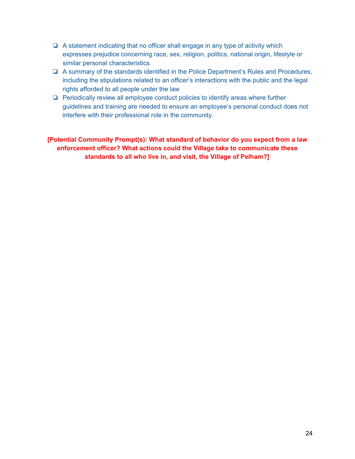- ❏ A statement indicating that no officer shall engage in any type of activity which expresses prejudice concerning race, sex, religion, politics, national origin, lifestyle or similar personal characteristics
- ❏ A summary of the standards identified in the Police Department's Rules and Procedures, including the stipulations related to an officer's interactions with the public and the legal rights afforded to all people under the law
- ❏ Periodically review all employee conduct policies to identify areas where further guidelines and training are needed to ensure an employee's personal conduct does not interfere with their professional role in the community.

**[Potential Community Prompt(s): What standard of behavior do you expect from a law enforcement officer? What actions could the Village take to communicate these standards to all who live in, and visit, the Village of Pelham?]**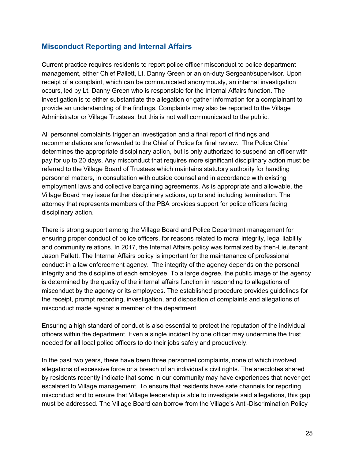## <span id="page-24-0"></span>**Misconduct Reporting and Internal Affairs**

Current practice requires residents to report police officer misconduct to police department management, either Chief Pallett, Lt. Danny Green or an on-duty Sergeant/supervisor. Upon receipt of a complaint, which can be communicated anonymously, an internal investigation occurs, led by Lt. Danny Green who is responsible for the Internal Affairs function. The investigation is to either substantiate the allegation or gather information for a complainant to provide an understanding of the findings. Complaints may also be reported to the Village Administrator or Village Trustees, but this is not well communicated to the public.

All personnel complaints trigger an investigation and a final report of findings and recommendations are forwarded to the Chief of Police for final review. The Police Chief determines the appropriate disciplinary action, but is only authorized to suspend an officer with pay for up to 20 days. Any misconduct that requires more significant disciplinary action must be referred to the Village Board of Trustees which maintains statutory authority for handling personnel matters, in consultation with outside counsel and in accordance with existing employment laws and collective bargaining agreements. As is appropriate and allowable, the Village Board may issue further disciplinary actions, up to and including termination. The attorney that represents members of the PBA provides support for police officers facing disciplinary action.

There is strong support among the Village Board and Police Department management for ensuring proper conduct of police officers, for reasons related to moral integrity, legal liability and community relations. In 2017, the Internal Affairs policy was formalized by then-Lieutenant Jason Pallett. The Internal Affairs policy is important for the maintenance of professional conduct in a law enforcement agency. The integrity of the agency depends on the personal integrity and the discipline of each employee. To a large degree, the public image of the agency is determined by the quality of the internal affairs function in responding to allegations of misconduct by the agency or its employees. The established procedure provides guidelines for the receipt, prompt recording, investigation, and disposition of complaints and allegations of misconduct made against a member of the department.

Ensuring a high standard of conduct is also essential to protect the reputation of the individual officers within the department. Even a single incident by one officer may undermine the trust needed for all local police officers to do their jobs safely and productively.

In the past two years, there have been three personnel complaints, none of which involved allegations of excessive force or a breach of an individual's civil rights. The anecdotes shared by residents recently indicate that some in our community may have experiences that never get escalated to Village management. To ensure that residents have safe channels for reporting misconduct and to ensure that Village leadership is able to investigate said allegations, this gap must be addressed. The Village Board can borrow from the Village's Anti-Discrimination Policy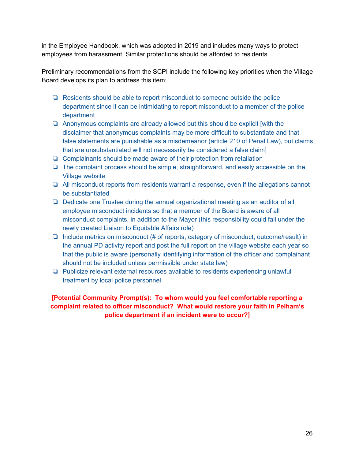in the Employee Handbook, which was adopted in 2019 and includes many ways to protect employees from harassment. Similar protections should be afforded to residents.

Preliminary recommendations from the SCPI include the following key priorities when the Village Board develops its plan to address this item:

- ❏ Residents should be able to report misconduct to someone outside the police department since it can be intimidating to report misconduct to a member of the police department
- ❏ Anonymous complaints are already allowed but this should be explicit [with the disclaimer that anonymous complaints may be more difficult to substantiate and that false statements are punishable as a misdemeanor (article 210 of Penal Law), but claims that are unsubstantiated will not necessarily be considered a false claim]
- ❏ Complainants should be made aware of their protection from retaliation
- ❏ The complaint process should be simple, straightforward, and easily accessible on the Village website
- ❏ All misconduct reports from residents warrant a response, even if the allegations cannot be substantiated
- ❏ Dedicate one Trustee during the annual organizational meeting as an auditor of all employee misconduct incidents so that a member of the Board is aware of all misconduct complaints, in addition to the Mayor (this responsibility could fall under the newly created Liaison to Equitable Affairs role)
- ❏ Include metrics on misconduct (# of reports, category of misconduct, outcome/result) in the annual PD activity report and post the full report on the village website each year so that the public is aware (personally identifying information of the officer and complainant should not be included unless permissible under state law)
- ❏ Publicize relevant external resources available to residents experiencing unlawful treatment by local police personnel

**[Potential Community Prompt(s): To whom would you feel comfortable reporting a complaint related to officer misconduct? What would restore your faith in Pelham's police department if an incident were to occur?]**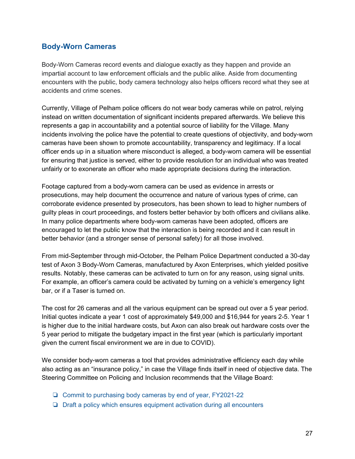# <span id="page-26-0"></span>**Body-Worn Cameras**

Body-Worn Cameras record events and dialogue exactly as they happen and provide an impartial account to law enforcement officials and the public alike. Aside from documenting encounters with the public, body camera technology also helps officers record what they see at accidents and crime scenes.

Currently, Village of Pelham police officers do not wear body cameras while on patrol, relying instead on written documentation of significant incidents prepared afterwards. We believe this represents a gap in accountability and a potential source of liability for the Village. Many incidents involving the police have the potential to create questions of objectivity, and body-worn cameras have been shown to promote accountability, transparency and legitimacy. If a local officer ends up in a situation where misconduct is alleged, a body-worn camera will be essential for ensuring that justice is served, either to provide resolution for an individual who was treated unfairly or to exonerate an officer who made appropriate decisions during the interaction.

Footage captured from a body-worn camera can be used as evidence in arrests or prosecutions, may help document the occurrence and nature of various types of crime, can corroborate evidence presented by prosecutors, has been shown to lead to higher numbers of guilty pleas in court proceedings, and fosters better behavior by both officers and civilians alike. In many police departments where body-worn cameras have been adopted, officers are encouraged to let the public know that the interaction is being recorded and it can result in better behavior (and a stronger sense of personal safety) for all those involved.

From mid-September through mid-October, the Pelham Police Department conducted a 30-day test of Axon 3 Body-Worn Cameras, manufactured by Axon Enterprises, which yielded positive results. Notably, these cameras can be activated to turn on for any reason, using signal units. For example, an officer's camera could be activated by turning on a vehicle's emergency light bar, or if a Taser is turned on.

The cost for 26 cameras and all the various equipment can be spread out over a 5 year period. Initial quotes indicate a year 1 cost of approximately \$49,000 and \$16,944 for years 2-5. Year 1 is higher due to the initial hardware costs, but Axon can also break out hardware costs over the 5 year period to mitigate the budgetary impact in the first year (which is particularly important given the current fiscal environment we are in due to COVID).

We consider body-worn cameras a tool that provides administrative efficiency each day while also acting as an "insurance policy," in case the Village finds itself in need of objective data. The Steering Committee on Policing and Inclusion recommends that the Village Board:

- ❏ Commit to purchasing body cameras by end of year, FY2021-22
- ❏ Draft a policy which ensures equipment activation during all encounters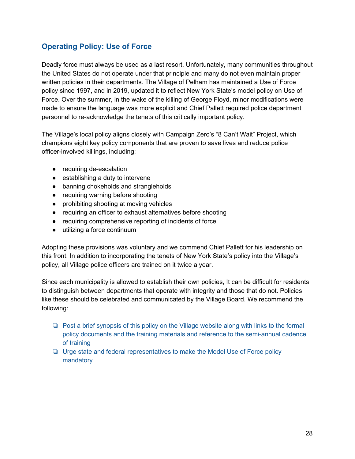# <span id="page-27-0"></span>**Operating Policy: Use of Force**

Deadly force must always be used as a last resort. Unfortunately, many communities throughout the United States do not operate under that principle and many do not even maintain proper written policies in their departments. The Village of Pelham has maintained a Use of Force policy since 1997, and in 2019, updated it to reflect New York State's model policy on Use of Force. Over the summer, in the wake of the killing of George Floyd, minor modifications were made to ensure the language was more explicit and Chief Pallett required police department personnel to re-acknowledge the tenets of this critically important policy.

The Village's local policy aligns closely with Campaign Zero's "8 Can't Wait" Project, which champions eight key policy components that are proven to save lives and reduce police officer-involved killings, including:

- requiring de-escalation
- establishing a duty to intervene
- banning chokeholds and strangleholds
- requiring warning before shooting
- prohibiting shooting at moving vehicles
- requiring an officer to exhaust alternatives before shooting
- requiring comprehensive reporting of incidents of force
- utilizing a force continuum

Adopting these provisions was voluntary and we commend Chief Pallett for his leadership on this front. In addition to incorporating the tenets of New York State's policy into the Village's policy, all Village police officers are trained on it twice a year.

Since each municipality is allowed to establish their own policies, It can be difficult for residents to distinguish between departments that operate with integrity and those that do not. Policies like these should be celebrated and communicated by the Village Board. We recommend the following:

- ❏ Post a brief synopsis of this policy on the Village website along with links to the formal policy documents and the training materials and reference to the semi-annual cadence of training
- ❏ Urge state and federal representatives to make the Model Use of Force policy mandatory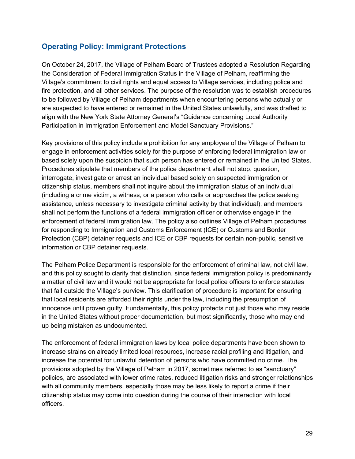# <span id="page-28-0"></span>**Operating Policy: Immigrant Protections**

On October 24, 2017, the Village of Pelham Board of Trustees adopted a Resolution Regarding the Consideration of Federal Immigration Status in the Village of Pelham, reaffirming the Village's commitment to civil rights and equal access to Village services, including police and fire protection, and all other services. The purpose of the resolution was to establish procedures to be followed by Village of Pelham departments when encountering persons who actually or are suspected to have entered or remained in the United States unlawfully, and was drafted to align with the New York State Attorney General's "Guidance concerning Local Authority Participation in Immigration Enforcement and Model Sanctuary Provisions."

Key provisions of this policy include a prohibition for any employee of the Village of Pelham to engage in enforcement activities solely for the purpose of enforcing federal immigration law or based solely upon the suspicion that such person has entered or remained in the United States. Procedures stipulate that members of the police department shall not stop, question, interrogate, investigate or arrest an individual based solely on suspected immigration or citizenship status, members shall not inquire about the immigration status of an individual (including a crime victim, a witness, or a person who calls or approaches the police seeking assistance, unless necessary to investigate criminal activity by that individual), and members shall not perform the functions of a federal immigration officer or otherwise engage in the enforcement of federal immigration law. The policy also outlines Village of Pelham procedures for responding to Immigration and Customs Enforcement (ICE) or Customs and Border Protection (CBP) detainer requests and ICE or CBP requests for certain non-public, sensitive information or CBP detainer requests.

The Pelham Police Department is responsible for the enforcement of criminal law, not civil law, and this policy sought to clarify that distinction, since federal immigration policy is predominantly a matter of civil law and it would not be appropriate for local police officers to enforce statutes that fall outside the Village's purview. This clarification of procedure is important for ensuring that local residents are afforded their rights under the law, including the presumption of innocence until proven guilty. Fundamentally, this policy protects not just those who may reside in the United States without proper documentation, but most significantly, those who may end up being mistaken as undocumented.

The enforcement of federal immigration laws by local police departments have been shown to increase strains on already limited local resources, increase racial profiling and litigation, and increase the potential for unlawful detention of persons who have committed no crime. The provisions adopted by the Village of Pelham in 2017, sometimes referred to as "sanctuary" policies, are associated with lower crime rates, reduced litigation risks and stronger relationships with all community members, especially those may be less likely to report a crime if their citizenship status may come into question during the course of their interaction with local officers.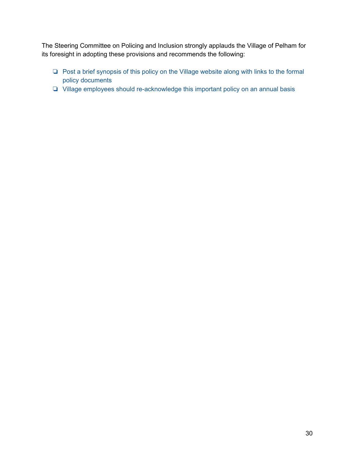The Steering Committee on Policing and Inclusion strongly applauds the Village of Pelham for its foresight in adopting these provisions and recommends the following:

- ❏ Post a brief synopsis of this policy on the Village website along with links to the formal policy documents
- ❏ Village employees should re-acknowledge this important policy on an annual basis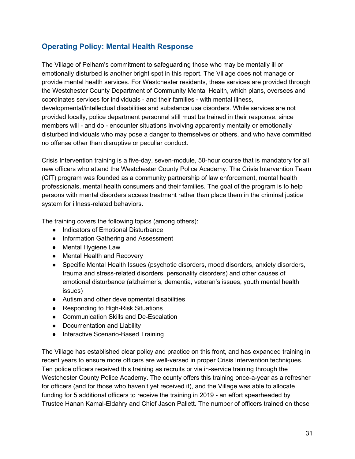# <span id="page-30-0"></span>**Operating Policy: Mental Health Response**

The Village of Pelham's commitment to safeguarding those who may be mentally ill or emotionally disturbed is another bright spot in this report. The Village does not manage or provide mental health services. For Westchester residents, these services are provided through the Westchester County Department of Community Mental Health, which plans, oversees and coordinates services for individuals - and their families - with mental illness, developmental/intellectual disabilities and substance use disorders. While services are not provided locally, police department personnel still must be trained in their response, since members will - and do - encounter situations involving apparently mentally or emotionally disturbed individuals who may pose a danger to themselves or others, and who have committed no offense other than disruptive or peculiar conduct.

Crisis Intervention training is a five-day, seven-module, 50-hour course that is mandatory for all new officers who attend the Westchester County Police Academy. The Crisis Intervention Team (CIT) program was founded as a community partnership of law enforcement, mental health professionals, mental health consumers and their families. The goal of the program is to help persons with mental disorders access treatment rather than place them in the criminal justice system for illness-related behaviors.

The training covers the following topics (among others):

- Indicators of Emotional Disturbance
- Information Gathering and Assessment
- Mental Hygiene Law
- Mental Health and Recovery
- Specific Mental Health Issues (psychotic disorders, mood disorders, anxiety disorders, trauma and stress-related disorders, personality disorders) and other causes of emotional disturbance (alzheimer's, dementia, veteran's issues, youth mental health issues)
- Autism and other developmental disabilities
- Responding to High-Risk Situations
- Communication Skills and De-Escalation
- Documentation and Liability
- Interactive Scenario-Based Training

The Village has established clear policy and practice on this front, and has expanded training in recent years to ensure more officers are well-versed in proper Crisis Intervention techniques. Ten police officers received this training as recruits or via in-service training through the Westchester County Police Academy. The county offers this training once-a-year as a refresher for officers (and for those who haven't yet received it), and the Village was able to allocate funding for 5 additional officers to receive the training in 2019 - an effort spearheaded by Trustee Hanan Kamal-Eldahry and Chief Jason Pallett. The number of officers trained on these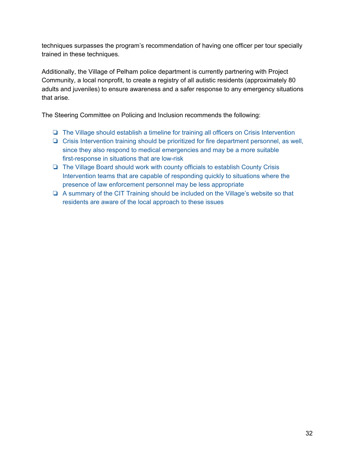techniques surpasses the program's recommendation of having one officer per tour specially trained in these techniques.

Additionally, the Village of Pelham police department is currently partnering with Project Community, a local nonprofit, to create a registry of all autistic residents (approximately 80 adults and juveniles) to ensure awareness and a safer response to any emergency situations that arise.

The Steering Committee on Policing and Inclusion recommends the following:

- ❏ The Village should establish a timeline for training all officers on Crisis Intervention
- ❏ Crisis Intervention training should be prioritized for fire department personnel, as well, since they also respond to medical emergencies and may be a more suitable first-response in situations that are low-risk
- ❏ The Village Board should work with county officials to establish County Crisis Intervention teams that are capable of responding quickly to situations where the presence of law enforcement personnel may be less appropriate
- ❏ A summary of the CIT Training should be included on the Village's website so that residents are aware of the local approach to these issues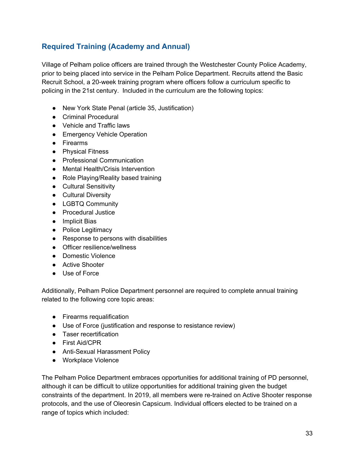# <span id="page-32-0"></span>**Required Training (Academy and Annual)**

Village of Pelham police officers are trained through the Westchester County Police Academy, prior to being placed into service in the Pelham Police Department. Recruits attend the Basic Recruit School, a 20-week training program where officers follow a curriculum specific to policing in the 21st century. Included in the curriculum are the following topics:

- New York State Penal (article 35, Justification)
- Criminal Procedural
- Vehicle and Traffic laws
- Emergency Vehicle Operation
- Firearms
- Physical Fitness
- Professional Communication
- Mental Health/Crisis Intervention
- Role Playing/Reality based training
- Cultural Sensitivity
- Cultural Diversity
- LGBTQ Community
- Procedural Justice
- Implicit Bias
- Police Legitimacy
- Response to persons with disabilities
- Officer resilience/wellness
- Domestic Violence
- Active Shooter
- Use of Force

Additionally, Pelham Police Department personnel are required to complete annual training related to the following core topic areas:

- Firearms requalification
- Use of Force (justification and response to resistance review)
- Taser recertification
- First Aid/CPR
- Anti-Sexual Harassment Policy
- Workplace Violence

The Pelham Police Department embraces opportunities for additional training of PD personnel, although it can be difficult to utilize opportunities for additional training given the budget constraints of the department. In 2019, all members were re-trained on Active Shooter response protocols, and the use of Oleoresin Capsicum. Individual officers elected to be trained on a range of topics which included: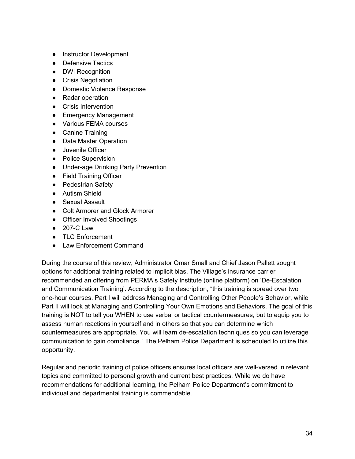- Instructor Development
- Defensive Tactics
- DWI Recognition
- Crisis Negotiation
- Domestic Violence Response
- Radar operation
- Crisis Intervention
- Emergency Management
- Various FEMA courses
- Canine Training
- Data Master Operation
- Juvenile Officer
- Police Supervision
- Under-age Drinking Party Prevention
- Field Training Officer
- Pedestrian Safety
- Autism Shield
- Sexual Assault
- Colt Armorer and Glock Armorer
- Officer Involved Shootings
- 207-C Law
- TLC Enforcement
- Law Enforcement Command

During the course of this review, Administrator Omar Small and Chief Jason Pallett sought options for additional training related to implicit bias. The Village's insurance carrier recommended an offering from PERMA's Safety Institute (online platform) on 'De-Escalation and Communication Training'. According to the description, "this training is spread over two one-hour courses. Part I will address Managing and Controlling Other People's Behavior, while Part II will look at Managing and Controlling Your Own Emotions and Behaviors. The goal of this training is NOT to tell you WHEN to use verbal or tactical countermeasures, but to equip you to assess human reactions in yourself and in others so that you can determine which countermeasures are appropriate. You will learn de-escalation techniques so you can leverage communication to gain compliance." The Pelham Police Department is scheduled to utilize this opportunity.

Regular and periodic training of police officers ensures local officers are well-versed in relevant topics and committed to personal growth and current best practices. While we do have recommendations for additional learning, the Pelham Police Department's commitment to individual and departmental training is commendable.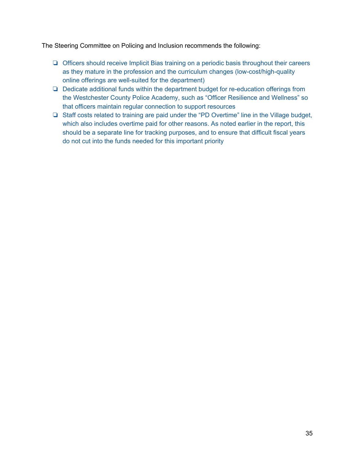The Steering Committee on Policing and Inclusion recommends the following:

- ❏ Officers should receive Implicit Bias training on a periodic basis throughout their careers as they mature in the profession and the curriculum changes (low-cost/high-quality online offerings are well-suited for the department)
- ❏ Dedicate additional funds within the department budget for re-education offerings from the Westchester County Police Academy, such as "Officer Resilience and Wellness" so that officers maintain regular connection to support resources
- ❏ Staff costs related to training are paid under the "PD Overtime" line in the Village budget, which also includes overtime paid for other reasons. As noted earlier in the report, this should be a separate line for tracking purposes, and to ensure that difficult fiscal years do not cut into the funds needed for this important priority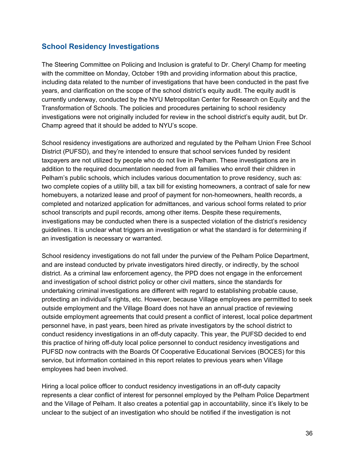## <span id="page-35-0"></span>**School Residency Investigations**

The Steering Committee on Policing and Inclusion is grateful to Dr. Cheryl Champ for meeting with the committee on Monday, October 19th and providing information about this practice, including data related to the number of investigations that have been conducted in the past five years, and clarification on the scope of the school district's equity audit. The equity audit is currently underway, conducted by the NYU Metropolitan Center for Research on Equity and the Transformation of Schools. The policies and procedures pertaining to school residency investigations were not originally included for review in the school district's equity audit, but Dr. Champ agreed that it should be added to NYU's scope.

School residency investigations are authorized and regulated by the Pelham Union Free School District (PUFSD), and they're intended to ensure that school services funded by resident taxpayers are not utilized by people who do not live in Pelham. These investigations are in addition to the required documentation needed from all families who enroll their children in Pelham's public schools, which includes various documentation to prove residency, such as: two complete copies of a utility bill, a tax bill for existing homeowners, a contract of sale for new homebuyers, a notarized lease and proof of payment for non-homeowners, health records, a completed and notarized application for admittances, and various school forms related to prior school transcripts and pupil records, among other items. Despite these requirements, investigations may be conducted when there is a suspected violation of the district's residency guidelines. It is unclear what triggers an investigation or what the standard is for determining if an investigation is necessary or warranted.

School residency investigations do not fall under the purview of the Pelham Police Department, and are instead conducted by private investigators hired directly, or indirectly, by the school district. As a criminal law enforcement agency, the PPD does not engage in the enforcement and investigation of school district policy or other civil matters, since the standards for undertaking criminal investigations are different with regard to establishing probable cause, protecting an individual's rights, etc. However, because Village employees are permitted to seek outside employment and the Village Board does not have an annual practice of reviewing outside employment agreements that could present a conflict of interest, local police department personnel have, in past years, been hired as private investigators by the school district to conduct residency investigations in an off-duty capacity. This year, the PUFSD decided to end this practice of hiring off-duty local police personnel to conduct residency investigations and PUFSD now contracts with the Boards Of Cooperative Educational Services (BOCES) for this service, but information contained in this report relates to previous years when Village employees had been involved.

Hiring a local police officer to conduct residency investigations in an off-duty capacity represents a clear conflict of interest for personnel employed by the Pelham Police Department and the Village of Pelham. It also creates a potential gap in accountability, since it's likely to be unclear to the subject of an investigation who should be notified if the investigation is not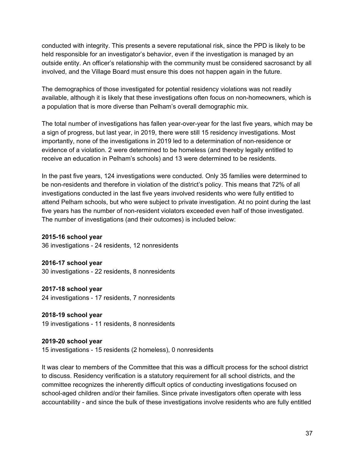conducted with integrity. This presents a severe reputational risk, since the PPD is likely to be held responsible for an investigator's behavior, even if the investigation is managed by an outside entity. An officer's relationship with the community must be considered sacrosanct by all involved, and the Village Board must ensure this does not happen again in the future.

The demographics of those investigated for potential residency violations was not readily available, although it is likely that these investigations often focus on non-homeowners, which is a population that is more diverse than Pelham's overall demographic mix.

The total number of investigations has fallen year-over-year for the last five years, which may be a sign of progress, but last year, in 2019, there were still 15 residency investigations. Most importantly, none of the investigations in 2019 led to a determination of non-residence or evidence of a violation. 2 were determined to be homeless (and thereby legally entitled to receive an education in Pelham's schools) and 13 were determined to be residents.

In the past five years, 124 investigations were conducted. Only 35 families were determined to be non-residents and therefore in violation of the district's policy. This means that 72% of all investigations conducted in the last five years involved residents who were fully entitled to attend Pelham schools, but who were subject to private investigation. At no point during the last five years has the number of non-resident violators exceeded even half of those investigated. The number of investigations (and their outcomes) is included below:

#### **2015-16 school year**

36 investigations - 24 residents, 12 nonresidents

**2016-17 school year** 30 investigations - 22 residents, 8 nonresidents

**2017-18 school year** 24 investigations - 17 residents, 7 nonresidents

**2018-19 school year** 19 investigations - 11 residents, 8 nonresidents

#### **2019-20 school year**

15 investigations - 15 residents (2 homeless), 0 nonresidents

It was clear to members of the Committee that this was a difficult process for the school district to discuss. Residency verification is a statutory requirement for all school districts, and the committee recognizes the inherently difficult optics of conducting investigations focused on school-aged children and/or their families. Since private investigators often operate with less accountability - and since the bulk of these investigations involve residents who are fully entitled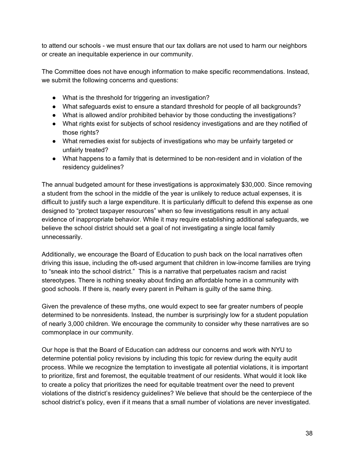to attend our schools - we must ensure that our tax dollars are not used to harm our neighbors or create an inequitable experience in our community.

The Committee does not have enough information to make specific recommendations. Instead, we submit the following concerns and questions:

- What is the threshold for triggering an investigation?
- What safeguards exist to ensure a standard threshold for people of all backgrounds?
- What is allowed and/or prohibited behavior by those conducting the investigations?
- What rights exist for subjects of school residency investigations and are they notified of those rights?
- What remedies exist for subjects of investigations who may be unfairly targeted or unfairly treated?
- What happens to a family that is determined to be non-resident and in violation of the residency guidelines?

The annual budgeted amount for these investigations is approximately \$30,000. Since removing a student from the school in the middle of the year is unlikely to reduce actual expenses, it is difficult to justify such a large expenditure. It is particularly difficult to defend this expense as one designed to "protect taxpayer resources" when so few investigations result in any actual evidence of inappropriate behavior. While it may require establishing additional safeguards, we believe the school district should set a goal of not investigating a single local family unnecessarily.

Additionally, we encourage the Board of Education to push back on the local narratives often driving this issue, including the oft-used argument that children in low-income families are trying to "sneak into the school district." This is a narrative that perpetuates racism and racist stereotypes. There is nothing sneaky about finding an affordable home in a community with good schools. If there is, nearly every parent in Pelham is guilty of the same thing.

Given the prevalence of these myths, one would expect to see far greater numbers of people determined to be nonresidents. Instead, the number is surprisingly low for a student population of nearly 3,000 children. We encourage the community to consider why these narratives are so commonplace in our community.

Our hope is that the Board of Education can address our concerns and work with NYU to determine potential policy revisions by including this topic for review during the equity audit process. While we recognize the temptation to investigate all potential violations, it is important to prioritize, first and foremost, the equitable treatment of our residents. What would it look like to create a policy that prioritizes the need for equitable treatment over the need to prevent violations of the district's residency guidelines? We believe that should be the centerpiece of the school district's policy, even if it means that a small number of violations are never investigated.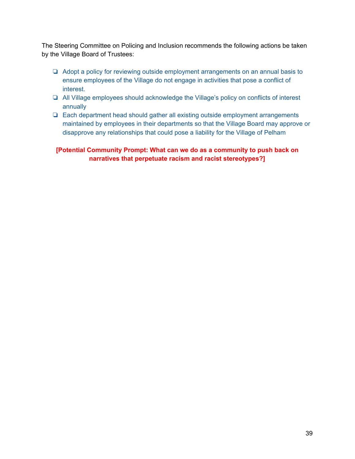The Steering Committee on Policing and Inclusion recommends the following actions be taken by the Village Board of Trustees:

- ❏ Adopt a policy for reviewing outside employment arrangements on an annual basis to ensure employees of the Village do not engage in activities that pose a conflict of interest.
- ❏ All Village employees should acknowledge the Village's policy on conflicts of interest annually
- ❏ Each department head should gather all existing outside employment arrangements maintained by employees in their departments so that the Village Board may approve or disapprove any relationships that could pose a liability for the Village of Pelham

**[Potential Community Prompt: What can we do as a community to push back on narratives that perpetuate racism and racist stereotypes?]**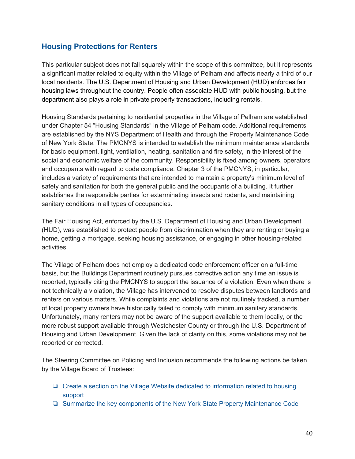## <span id="page-39-0"></span>**Housing Protections for Renters**

This particular subject does not fall squarely within the scope of this committee, but it represents a significant matter related to equity within the Village of Pelham and affects nearly a third of our local residents. The U.S. Department of Housing and Urban Development (HUD) enforces fair housing laws throughout the country. People often associate HUD with public housing, but the department also plays a role in private property transactions, including rentals.

Housing Standards pertaining to residential properties in the Village of Pelham are established under Chapter 54 "Housing Standards" in the Village of Pelham code. Additional requirements are established by the NYS Department of Health and through the Property Maintenance Code of New York State. The PMCNYS is intended to establish the minimum maintenance standards for basic equipment, light, ventilation, heating, sanitation and fire safety, in the interest of the social and economic welfare of the community. Responsibility is fixed among owners, operators and occupants with regard to code compliance. Chapter 3 of the PMCNYS, in particular, includes a variety of requirements that are intended to maintain a property's minimum level of safety and sanitation for both the general public and the occupants of a building. It further establishes the responsible parties for exterminating insects and rodents, and maintaining sanitary conditions in all types of occupancies.

The Fair Housing Act, enforced by the U.S. Department of Housing and Urban Development (HUD), was established to protect people from discrimination when they are renting or buying a home, getting a mortgage, seeking housing assistance, or engaging in other housing-related activities.

The Village of Pelham does not employ a dedicated code enforcement officer on a full-time basis, but the Buildings Department routinely pursues corrective action any time an issue is reported, typically citing the PMCNYS to support the issuance of a violation. Even when there is not technically a violation, the Village has intervened to resolve disputes between landlords and renters on various matters. While complaints and violations are not routinely tracked, a number of local property owners have historically failed to comply with minimum sanitary standards. Unfortunately, many renters may not be aware of the support available to them locally, or the more robust support available through Westchester County or through the U.S. Department of Housing and Urban Development. Given the lack of clarity on this, some violations may not be reported or corrected.

The Steering Committee on Policing and Inclusion recommends the following actions be taken by the Village Board of Trustees:

- ❏ Create a section on the Village Website dedicated to information related to housing support
- ❏ Summarize the key components of the New York State Property Maintenance Code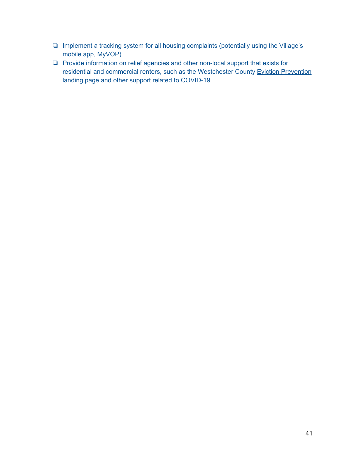- ❏ Implement a tracking system for all housing complaints (potentially using the Village's mobile app, MyVOP)
- ❏ Provide information on relief agencies and other non-local support that exists for residential and commercial renters, such as the Westchester County Eviction [Prevention](https://homes.westchestergov.com/tenants/eviction-prevention) landing page and other support related to COVID-19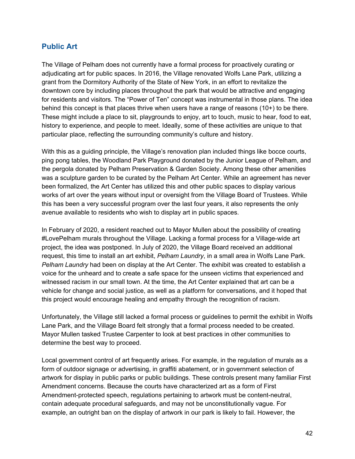### <span id="page-41-0"></span>**Public Art**

The Village of Pelham does not currently have a formal process for proactively curating or adjudicating art for public spaces. In 2016, the Village renovated Wolfs Lane Park, utilizing a grant from the Dormitory Authority of the State of New York, in an effort to revitalize the downtown core by including places throughout the park that would be attractive and engaging for residents and visitors. The "Power of Ten" concept was instrumental in those plans. The idea behind this concept is that places thrive when users have a range of reasons (10+) to be there. These might include a place to sit, playgrounds to enjoy, art to touch, music to hear, food to eat, history to experience, and people to meet. Ideally, some of these activities are unique to that particular place, reflecting the surrounding community's culture and history.

With this as a guiding principle, the Village's renovation plan included things like bocce courts, ping pong tables, the Woodland Park Playground donated by the Junior League of Pelham, and the pergola donated by Pelham Preservation & Garden Society. Among these other amenities was a sculpture garden to be curated by the Pelham Art Center. While an agreement has never been formalized, the Art Center has utilized this and other public spaces to display various works of art over the years without input or oversight from the Village Board of Trustees. While this has been a very successful program over the last four years, it also represents the only avenue available to residents who wish to display art in public spaces.

In February of 2020, a resident reached out to Mayor Mullen about the possibility of creating #LovePelham murals throughout the Village. Lacking a formal process for a Village-wide art project, the idea was postponed. In July of 2020, the Village Board received an additional request, this time to install an art exhibit, *Pelham Laundry*, in a small area in Wolfs Lane Park. *Pelham Laundry* had been on display at the Art Center. The exhibit was created to establish a voice for the unheard and to create a safe space for the unseen victims that experienced and witnessed racism in our small town. At the time, the Art Center explained that art can be a vehicle for change and social justice, as well as a platform for conversations, and it hoped that this project would encourage healing and empathy through the recognition of racism.

Unfortunately, the Village still lacked a formal process or guidelines to permit the exhibit in Wolfs Lane Park, and the Village Board felt strongly that a formal process needed to be created. Mayor Mullen tasked Trustee Carpenter to look at best practices in other communities to determine the best way to proceed.

Local government control of art frequently arises. For example, in the regulation of murals as a form of outdoor signage or advertising, in graffiti abatement, or in government selection of artwork for display in public parks or public buildings. These controls present many familiar First Amendment concerns. Because the courts have characterized art as a form of First Amendment-protected speech, regulations pertaining to artwork must be content-neutral, contain adequate procedural safeguards, and may not be unconstitutionally vague. For example, an outright ban on the display of artwork in our park is likely to fail. However, the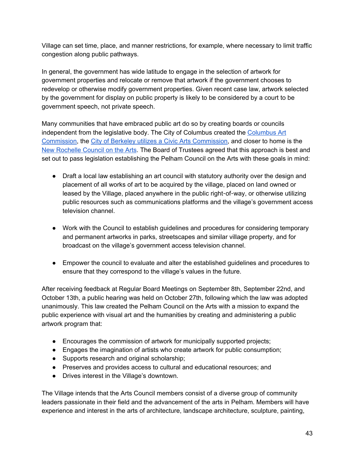Village can set time, place, and manner restrictions, for example, where necessary to limit traffic congestion along public pathways.

In general, the government has wide latitude to engage in the selection of artwork for government properties and relocate or remove that artwork if the government chooses to redevelop or otherwise modify government properties. Given recent case law, artwork selected by the government for display on public property is likely to be considered by a court to be government speech, not private speech.

Many communities that have embraced public art do so by creating boards or councils independent from the legislative body. The City of Columbus created the [Columbus](https://www.columbus.gov/planning/artcommission/) Art [Commission,](https://www.columbus.gov/planning/artcommission/) the City of Berkeley utilizes a Civic Arts [Commission,](https://www.cityofberkeley.info/CivicArtsCommissionHomepage/) and closer to home is the New [Rochelle](http://newrochellearts.org/) Council on the Arts. The Board of Trustees agreed that this approach is best and set out to pass legislation establishing the Pelham Council on the Arts with these goals in mind:

- Draft a local law establishing an art council with statutory authority over the design and placement of all works of art to be acquired by the village, placed on land owned or leased by the Village, placed anywhere in the public right-of-way, or otherwise utilizing public resources such as communications platforms and the village's government access television channel.
- Work with the Council to establish guidelines and procedures for considering temporary and permanent artworks in parks, streetscapes and similar village property, and for broadcast on the village's government access television channel.
- Empower the council to evaluate and alter the established guidelines and procedures to ensure that they correspond to the village's values in the future.

After receiving feedback at Regular Board Meetings on September 8th, September 22nd, and October 13th, a public hearing was held on October 27th, following which the law was adopted unanimously. This law created the Pelham Council on the Arts with a mission to expand the public experience with visual art and the humanities by creating and administering a public artwork program that:

- Encourages the commission of artwork for municipally supported projects;
- Engages the imagination of artists who create artwork for public consumption;
- Supports research and original scholarship;
- Preserves and provides access to cultural and educational resources; and
- Drives interest in the Village's downtown.

The Village intends that the Arts Council members consist of a diverse group of community leaders passionate in their field and the advancement of the arts in Pelham. Members will have experience and interest in the arts of architecture, landscape architecture, sculpture, painting,